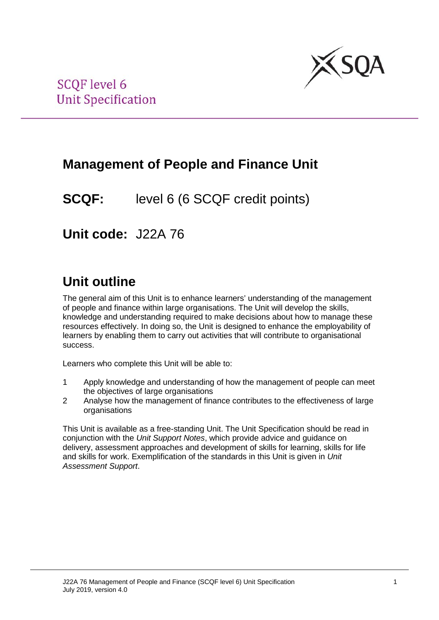

## **Management of People and Finance Unit**

**SCQF:** level 6 (6 SCQF credit points)

**Unit code:** J22A 76

# **Unit outline**

The general aim of this Unit is to enhance learners' understanding of the management of people and finance within large organisations. The Unit will develop the skills, knowledge and understanding required to make decisions about how to manage these resources effectively. In doing so, the Unit is designed to enhance the employability of learners by enabling them to carry out activities that will contribute to organisational success.

Learners who complete this Unit will be able to:

- 1 Apply knowledge and understanding of how the management of people can meet the objectives of large organisations
- 2 Analyse how the management of finance contributes to the effectiveness of large organisations

This Unit is available as a free-standing Unit. The Unit Specification should be read in conjunction with the *Unit Support Notes*, which provide advice and guidance on delivery, assessment approaches and development of skills for learning, skills for life and skills for work. Exemplification of the standards in this Unit is given in *Unit Assessment Support*.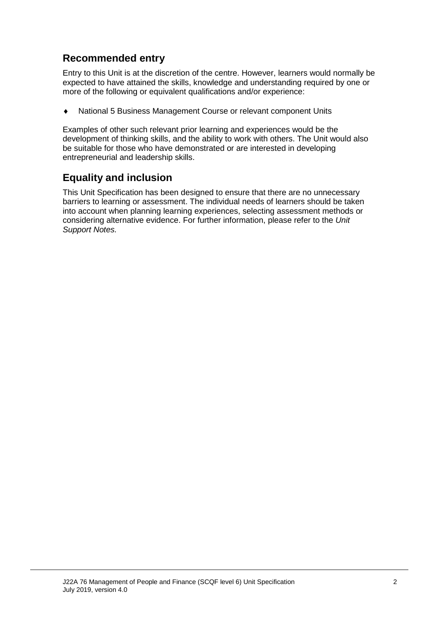### **Recommended entry**

Entry to this Unit is at the discretion of the centre. However, learners would normally be expected to have attained the skills, knowledge and understanding required by one or more of the following or equivalent qualifications and/or experience:

♦ National 5 Business Management Course or relevant component Units

Examples of other such relevant prior learning and experiences would be the development of thinking skills, and the ability to work with others. The Unit would also be suitable for those who have demonstrated or are interested in developing entrepreneurial and leadership skills.

### **Equality and inclusion**

This Unit Specification has been designed to ensure that there are no unnecessary barriers to learning or assessment. The individual needs of learners should be taken into account when planning learning experiences, selecting assessment methods or considering alternative evidence. For further information, please refer to the *Unit Support Notes.*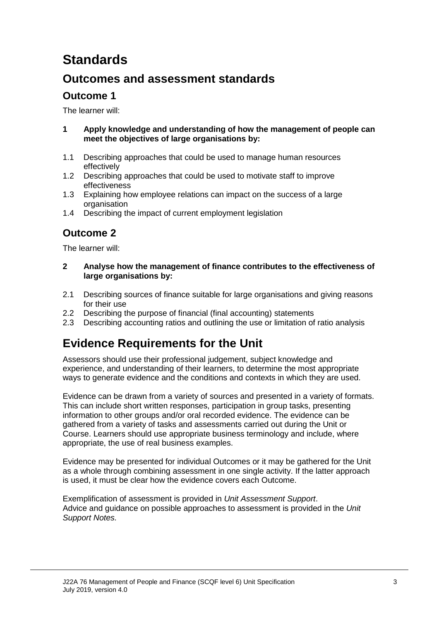# **Standards**

### **Outcomes and assessment standards**

### **Outcome 1**

The learner will:

- **1 Apply knowledge and understanding of how the management of people can meet the objectives of large organisations by:**
- 1.1 Describing approaches that could be used to manage human resources effectively
- 1.2 Describing approaches that could be used to motivate staff to improve effectiveness
- 1.3 Explaining how employee relations can impact on the success of a large organisation
- 1.4 Describing the impact of current employment legislation

### **Outcome 2**

The learner will:

- **2 Analyse how the management of finance contributes to the effectiveness of large organisations by:**
- 2.1 Describing sources of finance suitable for large organisations and giving reasons for their use
- 2.2 Describing the purpose of financial (final accounting) statements
- 2.3 Describing accounting ratios and outlining the use or limitation of ratio analysis

## **Evidence Requirements for the Unit**

Assessors should use their professional judgement, subject knowledge and experience, and understanding of their learners, to determine the most appropriate ways to generate evidence and the conditions and contexts in which they are used.

Evidence can be drawn from a variety of sources and presented in a variety of formats. This can include short written responses, participation in group tasks, presenting information to other groups and/or oral recorded evidence. The evidence can be gathered from a variety of tasks and assessments carried out during the Unit or Course. Learners should use appropriate business terminology and include, where appropriate, the use of real business examples.

Evidence may be presented for individual Outcomes or it may be gathered for the Unit as a whole through combining assessment in one single activity. If the latter approach is used, it must be clear how the evidence covers each Outcome.

Exemplification of assessment is provided in *Unit Assessment Support*. Advice and guidance on possible approaches to assessment is provided in the *Unit Support Notes.*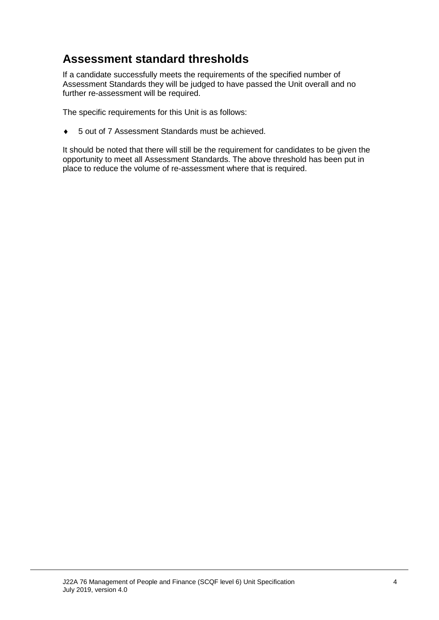### **Assessment standard thresholds**

If a candidate successfully meets the requirements of the specified number of Assessment Standards they will be judged to have passed the Unit overall and no further re-assessment will be required.

The specific requirements for this Unit is as follows:

♦ 5 out of 7 Assessment Standards must be achieved.

It should be noted that there will still be the requirement for candidates to be given the opportunity to meet all Assessment Standards. The above threshold has been put in place to reduce the volume of re-assessment where that is required.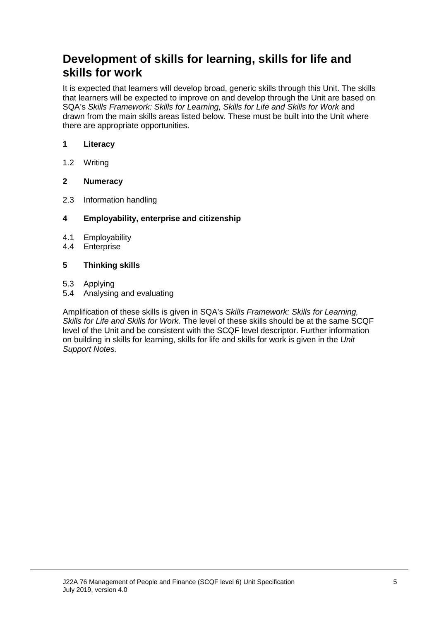### **Development of skills for learning, skills for life and skills for work**

It is expected that learners will develop broad, generic skills through this Unit. The skills that learners will be expected to improve on and develop through the Unit are based on SQA's *Skills Framework: Skills for Learning, Skills for Life and Skills for Work* and drawn from the main skills areas listed below. These must be built into the Unit where there are appropriate opportunities.

#### **1 Literacy**

1.2 Writing

#### **2 Numeracy**

2.3 Information handling

#### **4 Employability, enterprise and citizenship**

- 4.1 Employability<br>4.4 Enterprise
- **Enterprise**

#### **5 Thinking skills**

- 5.3 Applying
- 5.4 Analysing and evaluating

Amplification of these skills is given in SQA's *Skills Framework: Skills for Learning, Skills for Life and Skills for Work.* The level of these skills should be at the same SCQF level of the Unit and be consistent with the SCQF level descriptor. Further information on building in skills for learning, skills for life and skills for work is given in the *Unit Support Notes.*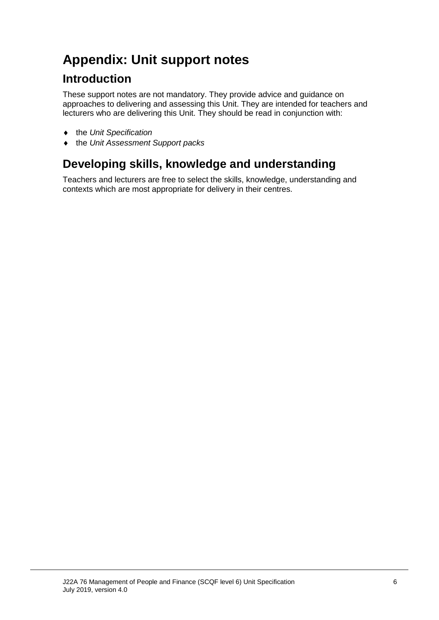# **Appendix: Unit support notes**

## **Introduction**

These support notes are not mandatory. They provide advice and guidance on approaches to delivering and assessing this Unit. They are intended for teachers and lecturers who are delivering this Unit. They should be read in conjunction with:

- ♦ the *Unit Specification*
- ♦ the *Unit Assessment Support packs*

## **Developing skills, knowledge and understanding**

Teachers and lecturers are free to select the skills, knowledge, understanding and contexts which are most appropriate for delivery in their centres.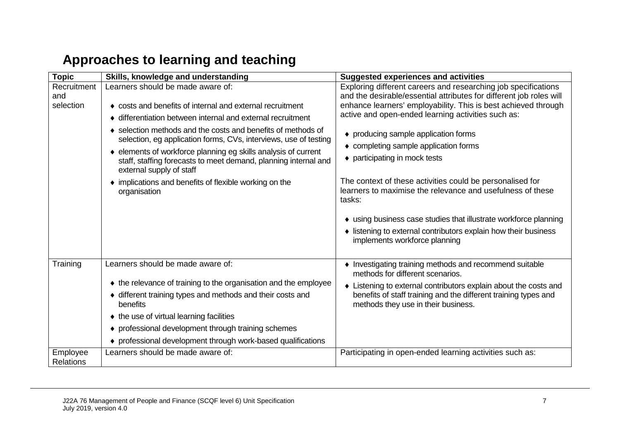# **Approaches to learning and teaching**

| <b>Topic</b>                    | Skills, knowledge and understanding                                                                                                                                                                                                                                                                                                                                                                                                                                                                                                          | <b>Suggested experiences and activities</b>                                                                                                                                                                                                                                                                                                                                     |                                                                                                                                                                      |
|---------------------------------|----------------------------------------------------------------------------------------------------------------------------------------------------------------------------------------------------------------------------------------------------------------------------------------------------------------------------------------------------------------------------------------------------------------------------------------------------------------------------------------------------------------------------------------------|---------------------------------------------------------------------------------------------------------------------------------------------------------------------------------------------------------------------------------------------------------------------------------------------------------------------------------------------------------------------------------|----------------------------------------------------------------------------------------------------------------------------------------------------------------------|
| Recruitment<br>and<br>selection | Learners should be made aware of:<br>• costs and benefits of internal and external recruitment<br>• differentiation between internal and external recruitment<br>• selection methods and the costs and benefits of methods of<br>selection, eg application forms, CVs, interviews, use of testing<br>• elements of workforce planning eg skills analysis of current<br>staff, staffing forecasts to meet demand, planning internal and<br>external supply of staff<br>• implications and benefits of flexible working on the<br>organisation | Exploring different careers and researching job specifications<br>and the desirable/essential attributes for different job roles will<br>enhance learners' employability. This is best achieved through<br>active and open-ended learning activities such as:<br>• producing sample application forms<br>• completing sample application forms<br>◆ participating in mock tests |                                                                                                                                                                      |
|                                 |                                                                                                                                                                                                                                                                                                                                                                                                                                                                                                                                              |                                                                                                                                                                                                                                                                                                                                                                                 |                                                                                                                                                                      |
|                                 |                                                                                                                                                                                                                                                                                                                                                                                                                                                                                                                                              |                                                                                                                                                                                                                                                                                                                                                                                 | • using business case studies that illustrate workforce planning<br>• listening to external contributors explain how their business<br>implements workforce planning |
| Training                        | Learners should be made aware of:                                                                                                                                                                                                                                                                                                                                                                                                                                                                                                            | • Investigating training methods and recommend suitable<br>methods for different scenarios.                                                                                                                                                                                                                                                                                     |                                                                                                                                                                      |
|                                 | • the relevance of training to the organisation and the employee                                                                                                                                                                                                                                                                                                                                                                                                                                                                             | • Listening to external contributors explain about the costs and                                                                                                                                                                                                                                                                                                                |                                                                                                                                                                      |
|                                 | • different training types and methods and their costs and<br>benefits                                                                                                                                                                                                                                                                                                                                                                                                                                                                       | benefits of staff training and the different training types and<br>methods they use in their business.                                                                                                                                                                                                                                                                          |                                                                                                                                                                      |
|                                 | ♦ the use of virtual learning facilities                                                                                                                                                                                                                                                                                                                                                                                                                                                                                                     |                                                                                                                                                                                                                                                                                                                                                                                 |                                                                                                                                                                      |
|                                 | • professional development through training schemes                                                                                                                                                                                                                                                                                                                                                                                                                                                                                          |                                                                                                                                                                                                                                                                                                                                                                                 |                                                                                                                                                                      |
|                                 | • professional development through work-based qualifications                                                                                                                                                                                                                                                                                                                                                                                                                                                                                 |                                                                                                                                                                                                                                                                                                                                                                                 |                                                                                                                                                                      |
| Employee<br><b>Relations</b>    | Learners should be made aware of:                                                                                                                                                                                                                                                                                                                                                                                                                                                                                                            | Participating in open-ended learning activities such as:                                                                                                                                                                                                                                                                                                                        |                                                                                                                                                                      |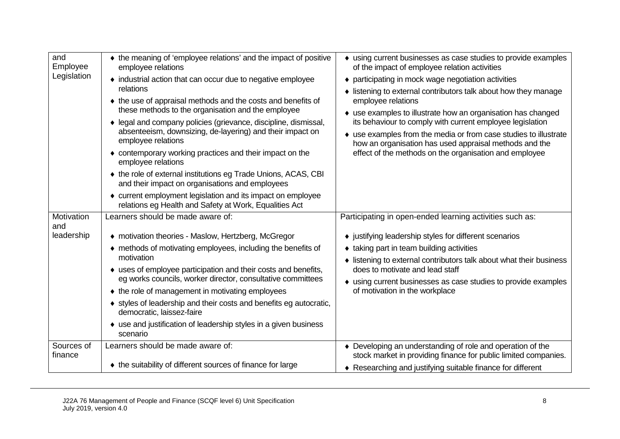| and<br>Employee<br>Legislation                | • the meaning of 'employee relations' and the impact of positive<br>employee relations<br>• industrial action that can occur due to negative employee<br>relations<br>• the use of appraisal methods and the costs and benefits of<br>these methods to the organisation and the employee<br>• legal and company policies (grievance, discipline, dismissal,<br>absenteeism, downsizing, de-layering) and their impact on<br>employee relations<br>• contemporary working practices and their impact on the<br>employee relations<br>♦ the role of external institutions eg Trade Unions, ACAS, CBI<br>and their impact on organisations and employees<br>• current employment legislation and its impact on employee<br>relations eg Health and Safety at Work, Equalities Act | • using current businesses as case studies to provide examples<br>of the impact of employee relation activities<br>• participating in mock wage negotiation activities<br>• listening to external contributors talk about how they manage<br>employee relations<br>• use examples to illustrate how an organisation has changed<br>its behaviour to comply with current employee legislation<br>• use examples from the media or from case studies to illustrate<br>how an organisation has used appraisal methods and the<br>effect of the methods on the organisation and employee |
|-----------------------------------------------|--------------------------------------------------------------------------------------------------------------------------------------------------------------------------------------------------------------------------------------------------------------------------------------------------------------------------------------------------------------------------------------------------------------------------------------------------------------------------------------------------------------------------------------------------------------------------------------------------------------------------------------------------------------------------------------------------------------------------------------------------------------------------------|--------------------------------------------------------------------------------------------------------------------------------------------------------------------------------------------------------------------------------------------------------------------------------------------------------------------------------------------------------------------------------------------------------------------------------------------------------------------------------------------------------------------------------------------------------------------------------------|
| Motivation<br>and<br>leadership<br>Sources of | Learners should be made aware of:<br>◆ motivation theories - Maslow, Hertzberg, McGregor<br>• methods of motivating employees, including the benefits of<br>motivation<br>• uses of employee participation and their costs and benefits,<br>eg works councils, worker director, consultative committees<br>• the role of management in motivating employees<br>• styles of leadership and their costs and benefits eg autocratic,<br>democratic, laissez-faire<br>• use and justification of leadership styles in a given business<br>scenario<br>Learners should be made aware of:                                                                                                                                                                                            | Participating in open-ended learning activities such as:<br>• justifying leadership styles for different scenarios<br>• taking part in team building activities<br>• listening to external contributors talk about what their business<br>does to motivate and lead staff<br>• using current businesses as case studies to provide examples<br>of motivation in the workplace<br>• Developing an understanding of role and operation of the                                                                                                                                          |
| finance                                       | ♦ the suitability of different sources of finance for large                                                                                                                                                                                                                                                                                                                                                                                                                                                                                                                                                                                                                                                                                                                    | stock market in providing finance for public limited companies.<br>♦ Researching and justifying suitable finance for different                                                                                                                                                                                                                                                                                                                                                                                                                                                       |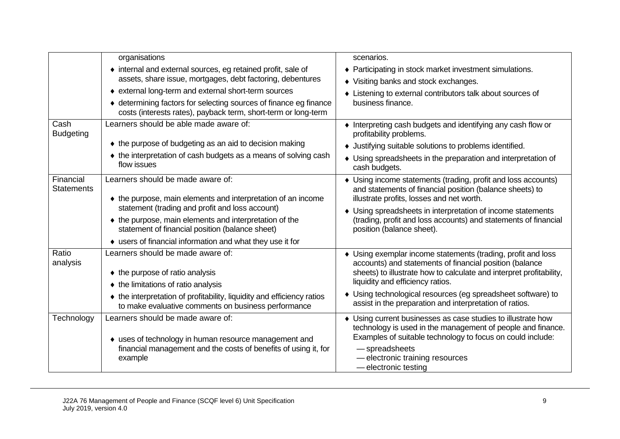|                                | organisations                                                                                                                       | scenarios.                                                                                                                                                                                     |  |
|--------------------------------|-------------------------------------------------------------------------------------------------------------------------------------|------------------------------------------------------------------------------------------------------------------------------------------------------------------------------------------------|--|
|                                | • internal and external sources, eg retained profit, sale of<br>assets, share issue, mortgages, debt factoring, debentures          | ♦ Participating in stock market investment simulations.                                                                                                                                        |  |
|                                |                                                                                                                                     | • Visiting banks and stock exchanges.                                                                                                                                                          |  |
|                                | • external long-term and external short-term sources                                                                                | • Listening to external contributors talk about sources of                                                                                                                                     |  |
|                                | ♦ determining factors for selecting sources of finance eg finance<br>costs (interests rates), payback term, short-term or long-term | business finance.                                                                                                                                                                              |  |
| Cash<br><b>Budgeting</b>       | Learners should be able made aware of:                                                                                              | • Interpreting cash budgets and identifying any cash flow or<br>profitability problems.                                                                                                        |  |
|                                | ◆ the purpose of budgeting as an aid to decision making                                                                             | • Justifying suitable solutions to problems identified.<br>• Using spreadsheets in the preparation and interpretation of<br>cash budgets.                                                      |  |
|                                | • the interpretation of cash budgets as a means of solving cash<br>flow issues                                                      |                                                                                                                                                                                                |  |
| Financial<br><b>Statements</b> | Learners should be made aware of:<br>• the purpose, main elements and interpretation of an income                                   | • Using income statements (trading, profit and loss accounts)<br>and statements of financial position (balance sheets) to<br>illustrate profits, losses and net worth.                         |  |
|                                | statement (trading and profit and loss account)                                                                                     | • Using spreadsheets in interpretation of income statements                                                                                                                                    |  |
|                                | • the purpose, main elements and interpretation of the<br>statement of financial position (balance sheet)                           | (trading, profit and loss accounts) and statements of financial<br>position (balance sheet).                                                                                                   |  |
|                                | • users of financial information and what they use it for                                                                           |                                                                                                                                                                                                |  |
| Ratio<br>analysis              | Learners should be made aware of:<br>$\bullet$ the purpose of ratio analysis                                                        | • Using exemplar income statements (trading, profit and loss<br>accounts) and statements of financial position (balance<br>sheets) to illustrate how to calculate and interpret profitability, |  |
|                                | ♦ the limitations of ratio analysis                                                                                                 | liquidity and efficiency ratios.                                                                                                                                                               |  |
|                                | • the interpretation of profitability, liquidity and efficiency ratios<br>to make evaluative comments on business performance       | • Using technological resources (eg spreadsheet software) to<br>assist in the preparation and interpretation of ratios.                                                                        |  |
| Technology                     | Learners should be made aware of:<br>• uses of technology in human resource management and                                          | • Using current businesses as case studies to illustrate how<br>technology is used in the management of people and finance.<br>Examples of suitable technology to focus on could include:      |  |
|                                | financial management and the costs of benefits of using it, for<br>example                                                          | - spreadsheets<br>- electronic training resources<br>- electronic testing                                                                                                                      |  |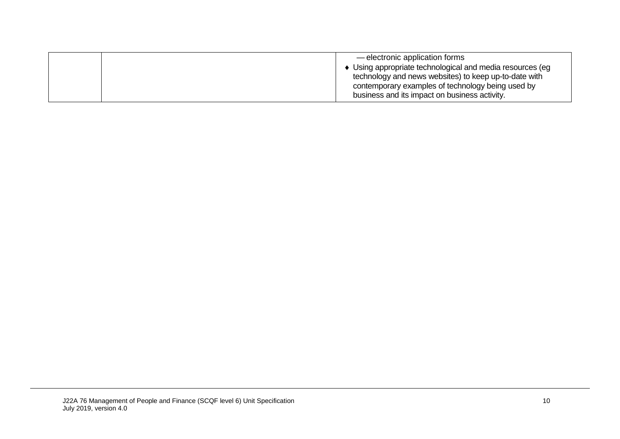| — electronic application forms                           |
|----------------------------------------------------------|
| Using appropriate technological and media resources (eg) |
| technology and news websites) to keep up-to-date with    |
| contemporary examples of technology being used by        |
| business and its impact on business activity.            |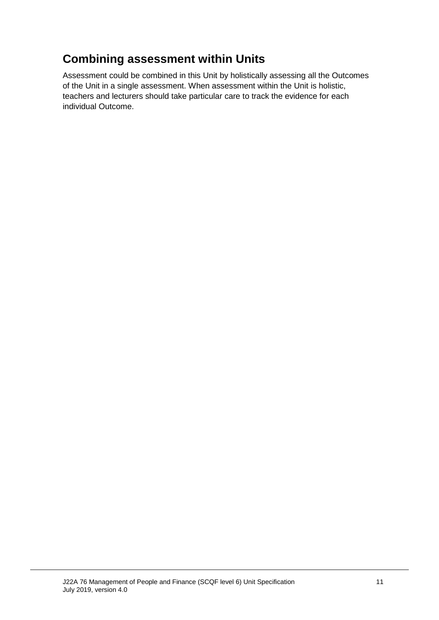## **Combining assessment within Units**

Assessment could be combined in this Unit by holistically assessing all the Outcomes of the Unit in a single assessment. When assessment within the Unit is holistic, teachers and lecturers should take particular care to track the evidence for each individual Outcome.